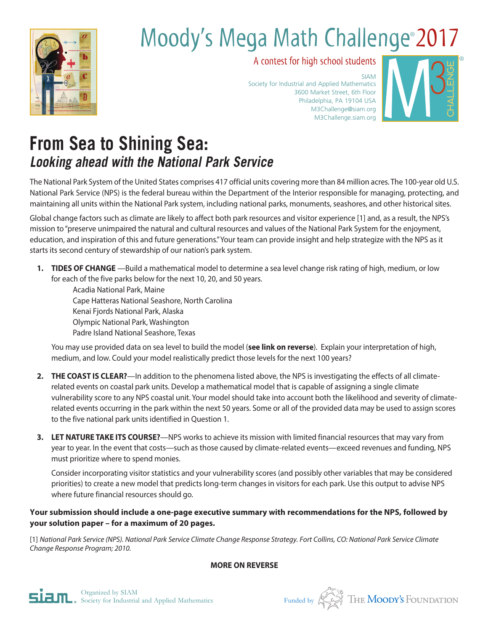

# Moody's Mega Math Challenge<sup>®</sup> 2017

A contest for high school students

SIAM Society for Industrial and Applied Mathematics 3600 Market Street, 6th Floor Philadelphia, PA 19104 USA M3Challenge@siam.org M3Challenge.siam.org



## **From Sea to Shining Sea: Looking ahead with the National Park Service**

The National Park System of the United States comprises 417 official units covering more than 84 million acres. The 100-year old U.S. National Park Service (NPS) is the federal bureau within the Department of the Interior responsible for managing, protecting, and maintaining all units within the National Park system, including national parks, monuments, seashores, and other historical sites.

Global change factors such as climate are likely to affect both park resources and visitor experience [1] and, as a result, the NPS's mission to "preserve unimpaired the natural and cultural resources and values of the National Park System for the enjoyment, education, and inspiration of this and future generations." Your team can provide insight and help strategize with the NPS as it starts its second century of stewardship of our nation's park system.

**1. TIDES OF CHANGE** —Build a mathematical model to determine a sea level change risk rating of high, medium, or low for each of the five parks below for the next 10, 20, and 50 years.

Acadia National Park, Maine Cape Hatteras National Seashore, North Carolina Kenai Fjords National Park, Alaska Olympic National Park, Washington Padre Island National Seashore, Texas

You may use provided data on sea level to build the model (**see link on reverse**). Explain your interpretation of high, medium, and low. Could your model realistically predict those levels for the next 100 years?

- **2. THE COAST IS CLEAR?**—In addition to the phenomena listed above, the NPS is investigating the effects of all climaterelated events on coastal park units. Develop a mathematical model that is capable of assigning a single climate vulnerability score to any NPS coastal unit. Your model should take into account both the likelihood and severity of climaterelated events occurring in the park within the next 50 years. Some or all of the provided data may be used to assign scores to the five national park units identified in Question 1.
- **3. LET NATURE TAKE ITS COURSE?**—NPS works to achieve its mission with limited financial resources that may vary from year to year. In the event that costs—such as those caused by climate-related events—exceed revenues and funding, NPS must prioritize where to spend monies.

Consider incorporating visitor statistics and your vulnerability scores (and possibly other variables that may be considered priorities) to create a new model that predicts long-term changes in visitors for each park. Use this output to advise NPS where future financial resources should go.

### **Your submission should include a one-page executive summary with recommendations for the NPS, followed by your solution paper – for a maximum of 20 pages.**

[1] *National Park Service (NPS). National Park Service Climate Change Response Strategy. Fort Collins, CO: National Park Service Climate Change Response Program; 2010.*

**MORE ON REVERSE**